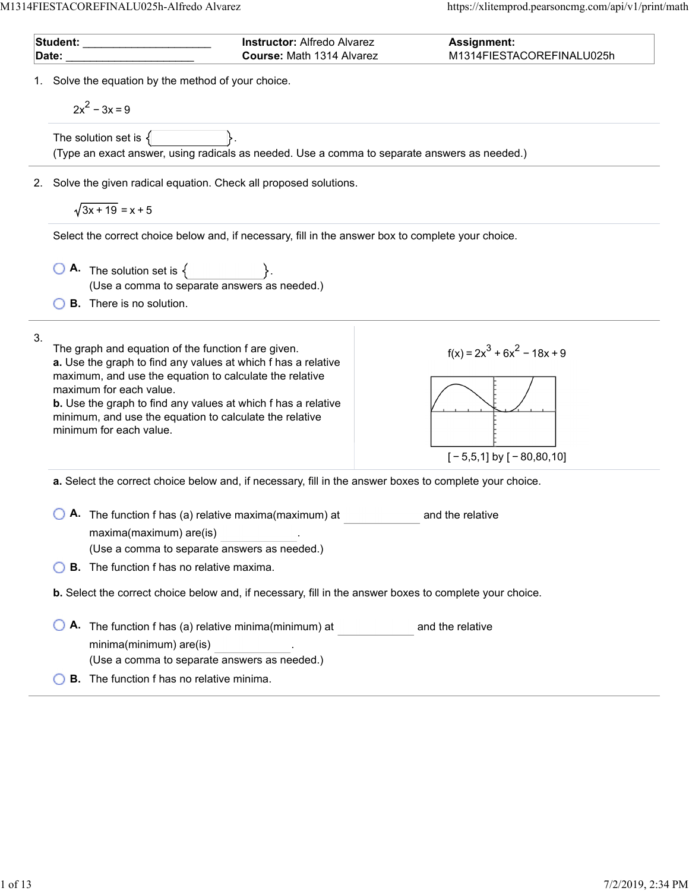$\overline{a}$ 

 $\overline{a}$ 

|       | Student: Student:                                                                                                                                                                                                                                                                                                                                                        | <b>Instructor: Alfredo Alvarez</b> | <b>Assignment:</b>                                            |
|-------|--------------------------------------------------------------------------------------------------------------------------------------------------------------------------------------------------------------------------------------------------------------------------------------------------------------------------------------------------------------------------|------------------------------------|---------------------------------------------------------------|
| Date: |                                                                                                                                                                                                                                                                                                                                                                          | Course: Math 1314 Alvarez          | M1314FIESTACOREFINALU025h                                     |
|       | 1. Solve the equation by the method of your choice.<br>$2x^2 - 3x = 9$                                                                                                                                                                                                                                                                                                   |                                    |                                                               |
|       | The solution set is $\{$<br>(Type an exact answer, using radicals as needed. Use a comma to separate answers as needed.)                                                                                                                                                                                                                                                 |                                    |                                                               |
|       | 2. Solve the given radical equation. Check all proposed solutions.<br>$\sqrt{3x+19} = x+5$                                                                                                                                                                                                                                                                               |                                    |                                                               |
|       | Select the correct choice below and, if necessary, fill in the answer box to complete your choice.                                                                                                                                                                                                                                                                       |                                    |                                                               |
|       | $\begin{array}{ c c c }\n\hline\n\bullet\end{array}$ The solution set is $\{\begin{array}{ c c }\n\hline\n\end{array}\}$ .<br>(Use a comma to separate answers as needed.)<br><b>B.</b> There is no solution.                                                                                                                                                            |                                    |                                                               |
| 3.    | The graph and equation of the function f are given.<br>a. Use the graph to find any values at which f has a relative<br>maximum, and use the equation to calculate the relative<br>maximum for each value.<br><b>b.</b> Use the graph to find any values at which f has a relative<br>minimum, and use the equation to calculate the relative<br>minimum for each value. |                                    | $f(x) = 2x^3 + 6x^2 - 18x + 9$<br>$[-5,5,1]$ by $[-80,80,10]$ |
|       | a. Select the correct choice below and, if necessary, fill in the answer boxes to complete your choice.                                                                                                                                                                                                                                                                  |                                    |                                                               |
|       | A. The function f has (a) relative maxima(maximum) at<br>maxima(maximum) are(is)<br>(Use a comma to separate answers as needed.)<br><b>B.</b> The function f has no relative maxima.                                                                                                                                                                                     |                                    | and the relative                                              |
|       |                                                                                                                                                                                                                                                                                                                                                                          |                                    |                                                               |
|       | <b>b.</b> Select the correct choice below and, if necessary, fill in the answer boxes to complete your choice.                                                                                                                                                                                                                                                           |                                    |                                                               |
|       | A. The function f has (a) relative minima(minimum) at<br>minima(minimum) are(is)<br>(Use a comma to separate answers as needed.)                                                                                                                                                                                                                                         |                                    | and the relative                                              |
|       | <b>B.</b> The function f has no relative minima.                                                                                                                                                                                                                                                                                                                         |                                    |                                                               |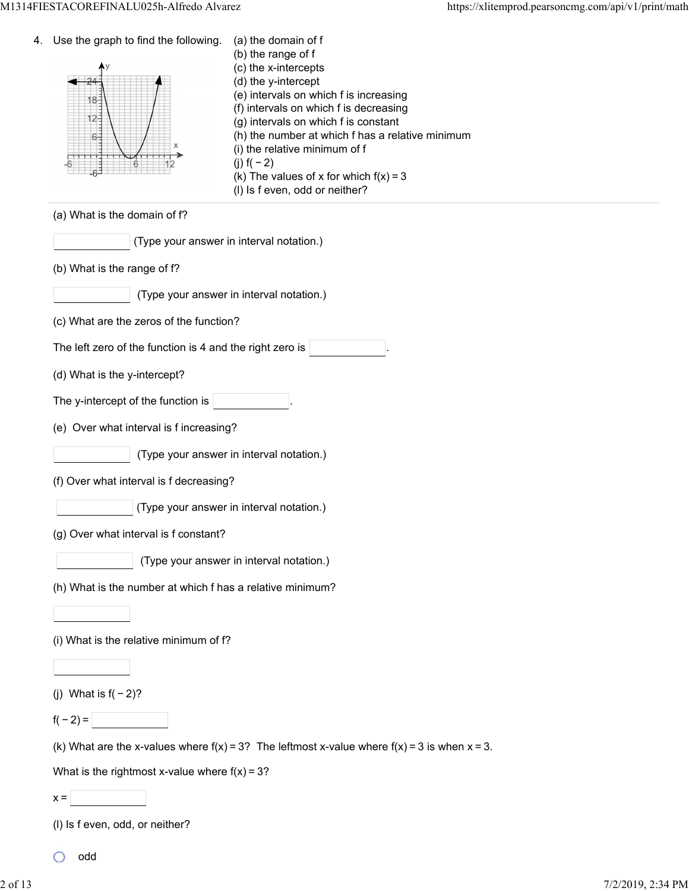| 4. | Use the graph to find the following.<br>$18 -$<br>$12 -$<br>$6 -$<br>6 | (a) the domain of f<br>(b) the range of f<br>(c) the x-intercepts<br>(d) the y-intercept<br>(e) intervals on which f is increasing<br>(f) intervals on which f is decreasing<br>(g) intervals on which f is constant<br>(h) the number at which f has a relative minimum<br>(i) the relative minimum of f<br>(j) $f(-2)$<br>(k) The values of x for which $f(x) = 3$<br>(I) Is f even, odd or neither? |
|----|------------------------------------------------------------------------|--------------------------------------------------------------------------------------------------------------------------------------------------------------------------------------------------------------------------------------------------------------------------------------------------------------------------------------------------------------------------------------------------------|
|    | (a) What is the domain of f?                                           |                                                                                                                                                                                                                                                                                                                                                                                                        |
|    | (Type your answer in interval notation.)                               |                                                                                                                                                                                                                                                                                                                                                                                                        |
|    | (b) What is the range of f?                                            |                                                                                                                                                                                                                                                                                                                                                                                                        |
|    |                                                                        | (Type your answer in interval notation.)                                                                                                                                                                                                                                                                                                                                                               |
|    | (c) What are the zeros of the function?                                |                                                                                                                                                                                                                                                                                                                                                                                                        |
|    | The left zero of the function is 4 and the right zero is               |                                                                                                                                                                                                                                                                                                                                                                                                        |
|    | (d) What is the y-intercept?                                           |                                                                                                                                                                                                                                                                                                                                                                                                        |
|    | The y-intercept of the function is                                     |                                                                                                                                                                                                                                                                                                                                                                                                        |
|    | (e) Over what interval is f increasing?                                |                                                                                                                                                                                                                                                                                                                                                                                                        |
|    |                                                                        | (Type your answer in interval notation.)                                                                                                                                                                                                                                                                                                                                                               |
|    | (f) Over what interval is f decreasing?                                |                                                                                                                                                                                                                                                                                                                                                                                                        |
|    |                                                                        | (Type your answer in interval notation.)                                                                                                                                                                                                                                                                                                                                                               |
|    | (g) Over what interval is f constant?                                  |                                                                                                                                                                                                                                                                                                                                                                                                        |
|    |                                                                        | (Type your answer in interval notation.)                                                                                                                                                                                                                                                                                                                                                               |
|    | (h) What is the number at which f has a relative minimum?              |                                                                                                                                                                                                                                                                                                                                                                                                        |
|    |                                                                        |                                                                                                                                                                                                                                                                                                                                                                                                        |
|    | (i) What is the relative minimum of f?                                 |                                                                                                                                                                                                                                                                                                                                                                                                        |
|    |                                                                        |                                                                                                                                                                                                                                                                                                                                                                                                        |
|    | (j) What is $f(-2)$ ?                                                  |                                                                                                                                                                                                                                                                                                                                                                                                        |
|    | $f(-2) =$                                                              |                                                                                                                                                                                                                                                                                                                                                                                                        |
|    |                                                                        | (k) What are the x-values where $f(x) = 3$ ? The leftmost x-value where $f(x) = 3$ is when $x = 3$ .                                                                                                                                                                                                                                                                                                   |
|    | What is the rightmost x-value where $f(x) = 3$ ?                       |                                                                                                                                                                                                                                                                                                                                                                                                        |
|    | $x =$                                                                  |                                                                                                                                                                                                                                                                                                                                                                                                        |
|    | (I) Is f even, odd, or neither?                                        |                                                                                                                                                                                                                                                                                                                                                                                                        |

odd О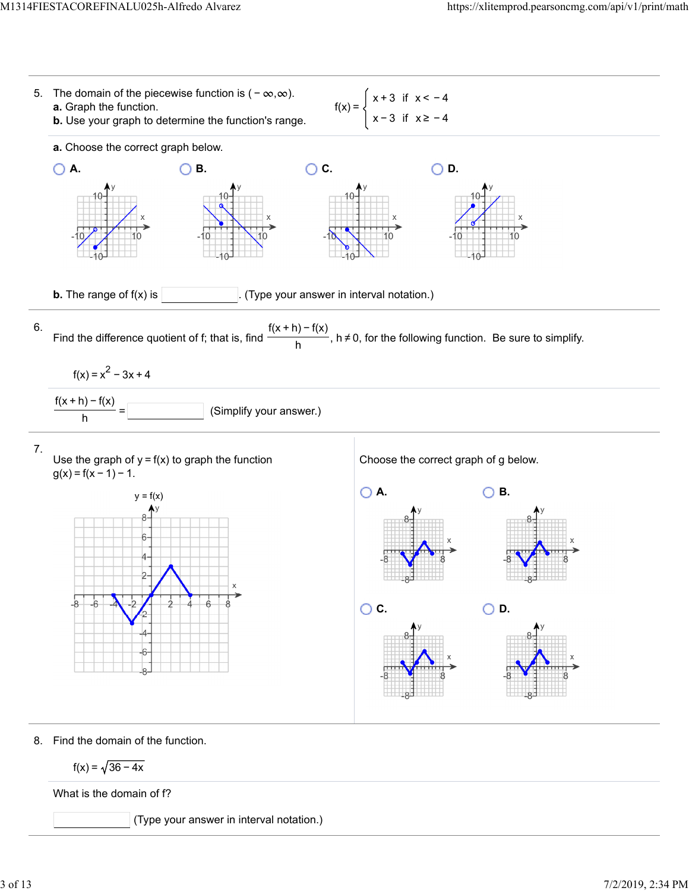

$$
f(x) = \sqrt{36 - 4x}
$$

What is the domain of f?

(Type your answer in interval notation.)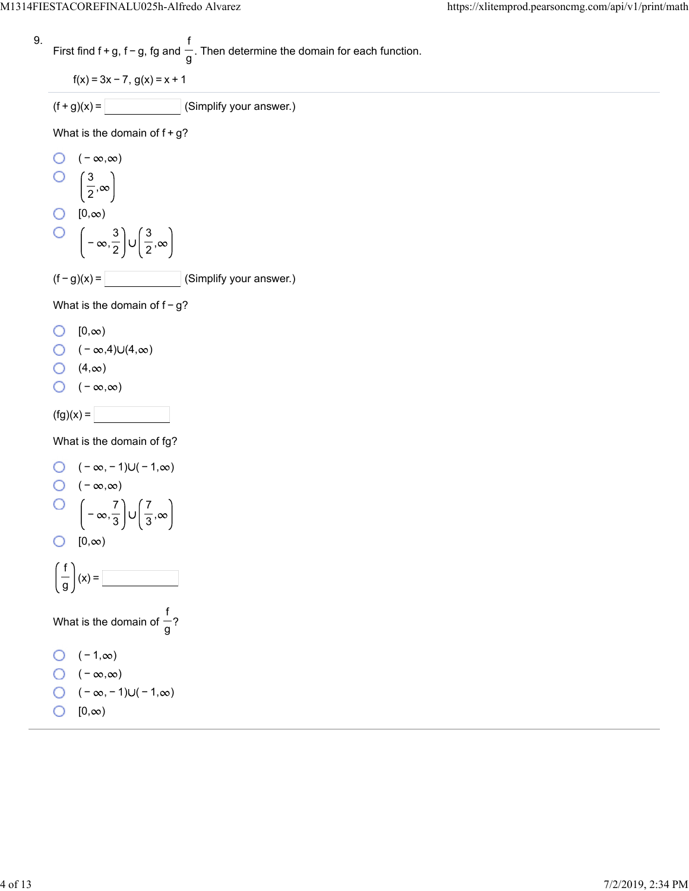9. First find 
$$
f + g
$$
,  $f - g$ ,  $fg$  and  $\frac{f}{g}$ . Then determine the domain for each function.

$$
f(x) = 3x - 7, g(x) = x + 1
$$

$$
(f+g)(x) = \boxed{\qquad \qquad} \text{(Simplify your answer.)}
$$

What is the domain of  $f+g$ ?

O (−∞,∞)  
\nO 
$$
\left(\frac{3}{2}, \infty\right)
$$
  
\nO [0,∞)  
\nO  $\left(-\infty, \frac{3}{2}\right) \cup \left(\frac{3}{2}, \infty\right)$   
\n(f-g)(x) = \_\_\_\_\_\_ (Simplify your answer.)

What is the domain of  $f-g$ ?

- $\bigcirc$   $[0, \infty)$
- $\bigcirc$   $(-\infty,4)\cup(4,\infty)$
- $(4, \infty)$
- $\bigcirc$  ( − ∞,∞)

 $(fg)(x) =$ 

What is the domain of fg?

O 
$$
(-\infty, -1)U(-1, \infty)
$$
  
\nO  $(-\infty, \infty)$   
\nO  $\left(-\infty, \frac{7}{3}\right)U\left(\frac{7}{3}, \infty\right)$   
\nO  $[0, \infty)$   
\n $\left(\frac{f}{g}\right)(x) =$   
\nWhat is the domain of  $\frac{f}{g}$ ?  
\nO  $(-1, \infty)$   
\nO  $(-\infty, \infty)$   
\nO  $(-\infty, -1)U(-1, \infty)$ 

 $[0, \infty)$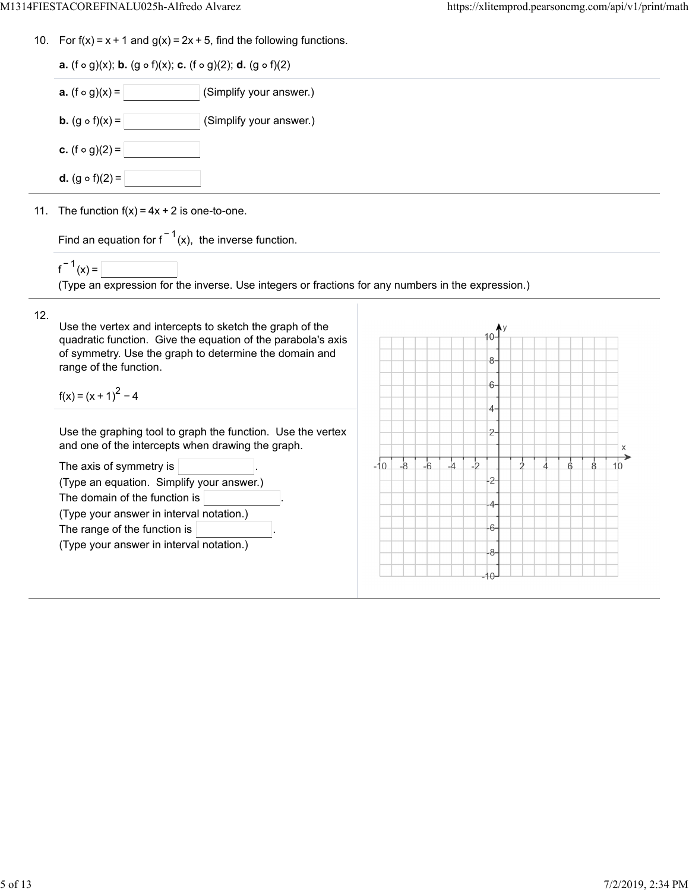10. For  $f(x) = x + 1$  and  $g(x) = 2x + 5$ , find the following functions.

| <b>a.</b> (f $\circ$ g)(x); <b>b.</b> (g $\circ$ f)(x); <b>c.</b> (f $\circ$ g)(2); <b>d.</b> (g $\circ$ f)(2) |                         |  |  |
|----------------------------------------------------------------------------------------------------------------|-------------------------|--|--|
| <b>a.</b> $(f \circ g)(x) =$                                                                                   | (Simplify your answer.) |  |  |
| <b>b.</b> $(g \circ f)(x) =$                                                                                   | (Simplify your answer.) |  |  |
| <b>c.</b> (f $\circ$ g)(2) =                                                                                   |                         |  |  |
| <b>d.</b> $(g \circ f)(2) =$                                                                                   |                         |  |  |
| 11. The function $f(x) = 4x + 2$ is one-to-one.                                                                |                         |  |  |
|                                                                                                                |                         |  |  |

Find an equation for  $f^{-1}(x)$ , the inverse function.

 $f^{-1}(x) =$ 

(Type an expression for the inverse. Use integers or fractions for any numbers in the expression.)

## 12.

Use the vertex and intercepts to sketch the graph of the quadratic function. Give the equation of the parabola's axis of symmetry. Use the graph to determine the domain and range of the function.

 $f(x) = (x + 1)^{2} - 4$ 

Use the graphing tool to graph the function. Use the vertex and one of the intercepts when drawing the graph.

| The axis of symmetry is $ $               |
|-------------------------------------------|
| (Type an equation. Simplify your answer.) |
| The domain of the function is             |
| (Type your answer in interval notation.)  |
| The range of the function is              |
| (Type your answer in interval notation.)  |
|                                           |

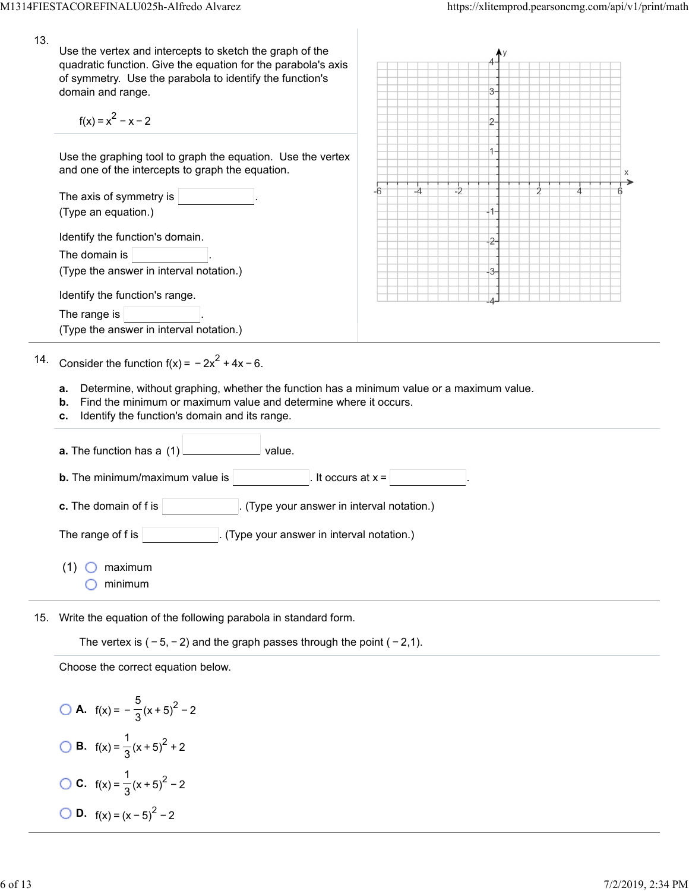| 13. | Use the vertex and intercepts to sketch the graph of the<br>quadratic function. Give the equation for the parabola's axis<br>of symmetry. Use the parabola to identify the function's<br>domain and range.<br>$f(x) = x^2 - x - 2$ |    |    |    |    |  |  |
|-----|------------------------------------------------------------------------------------------------------------------------------------------------------------------------------------------------------------------------------------|----|----|----|----|--|--|
|     | Use the graphing tool to graph the equation. Use the vertex<br>and one of the intercepts to graph the equation.                                                                                                                    |    |    |    |    |  |  |
|     | The axis of symmetry is                                                                                                                                                                                                            | -6 | -4 | -2 |    |  |  |
|     | (Type an equation.)                                                                                                                                                                                                                |    |    |    |    |  |  |
|     | Identify the function's domain.                                                                                                                                                                                                    |    |    |    |    |  |  |
|     | The domain is                                                                                                                                                                                                                      |    |    |    |    |  |  |
|     | (Type the answer in interval notation.)                                                                                                                                                                                            |    |    |    | 3. |  |  |
|     | Identify the function's range.                                                                                                                                                                                                     |    |    |    |    |  |  |
|     | The range is                                                                                                                                                                                                                       |    |    |    |    |  |  |
|     | (Type the answer in interval notation.)                                                                                                                                                                                            |    |    |    |    |  |  |
| 14. | Consider the function $f(x) = -2x^2 + 4x - 6$ .                                                                                                                                                                                    |    |    |    |    |  |  |
|     | Determine, without graphing, whether the function has a minimum value or a maximum value.<br>а.<br>Find the minimum or maximum value and determine where it occurs.<br>b.                                                          |    |    |    |    |  |  |

**c.** Identify the function's domain and its range.

| <b>a.</b> The function has a $(1)$<br>value.                                   |
|--------------------------------------------------------------------------------|
| <b>b.</b> The minimum/maximum value is<br>. It occurs at $x =$                 |
| <b>c.</b> The domain of f is $ $<br>. (Type your answer in interval notation.) |
| The range of f is<br>(Type your answer in interval notation.)                  |
| maximum<br>(1)<br>minimum                                                      |

15. Write the equation of the following parabola in standard form.

The vertex is  $(-5, -2)$  and the graph passes through the point  $(-2, 1)$ .

Choose the correct equation below.

**A.**  $f(x) = -\frac{5}{3}(x+5)^2 - 2$ **B.**  $f(x) = \frac{1}{3}(x+5)^2 + 2$ **C.**  $f(x) = \frac{1}{3}(x+5)^2 - 2$ **D.**  $f(x) = (x-5)^2 - 2$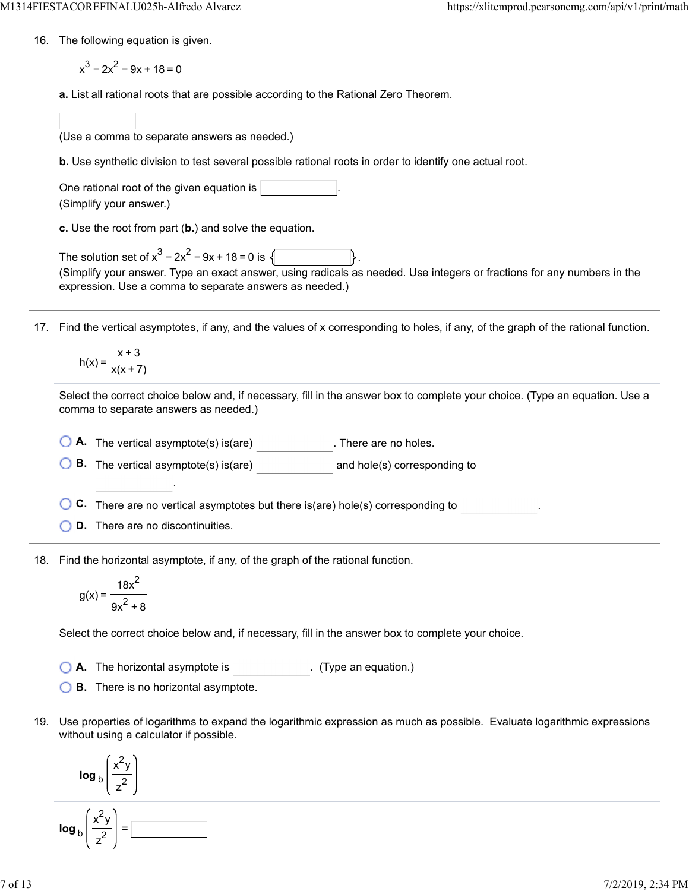16. The following equation is given.

 $x^3 - 2x^2 - 9x + 18 = 0$ 

**a.** List all rational roots that are possible according to the Rational Zero Theorem.

| (Use a comma to separate answers as needed.) |  |  |  |
|----------------------------------------------|--|--|--|
|                                              |  |  |  |

**b.** Use synthetic division to test several possible rational roots in order to identify one actual root.

One rational root of the given equation is (Simplify your answer.)

**c.** Use the root from part (**b.**) and solve the equation.

The solution set of  $x^3 - 2x^2 - 9x + 18 = 0$  is  $\sqrt{ }$ (Simplify your answer. Type an exact answer, using radicals as needed. Use integers or fractions for any numbers in the expression. Use a comma to separate answers as needed.)

17. Find the vertical asymptotes, if any, and the values of x corresponding to holes, if any, of the graph of the rational function.

$$
h(x) = \frac{x+3}{x(x+7)}
$$

Select the correct choice below and, if necessary, fill in the answer box to complete your choice. (Type an equation. Use a comma to separate answers as needed.)

**A.** The vertical asymptote(s) is(are) . There are no holes.

**B.** The vertical asymptote(s) is(are) and hole(s) corresponding to

**C.** There are no vertical asymptotes but there is(are) hole(s) corresponding to .

**D.** There are no discontinuities.

.

18. Find the horizontal asymptote, if any, of the graph of the rational function.

$$
g(x) = \frac{18x^2}{9x^2 + 8}
$$

Select the correct choice below and, if necessary, fill in the answer box to complete your choice.

**A.** The horizontal asymptote is . (Type an equation.)

**B.** There is no horizontal asymptote.

19. Use properties of logarithms to expand the logarithmic expression as much as possible. Evaluate logarithmic expressions without using a calculator if possible.

$$
\log_{b}\left(\frac{x^{2}y}{z^{2}}\right)
$$
\n
$$
\log_{b}\left(\frac{x^{2}y}{z^{2}}\right) = \boxed{\phantom{b}}
$$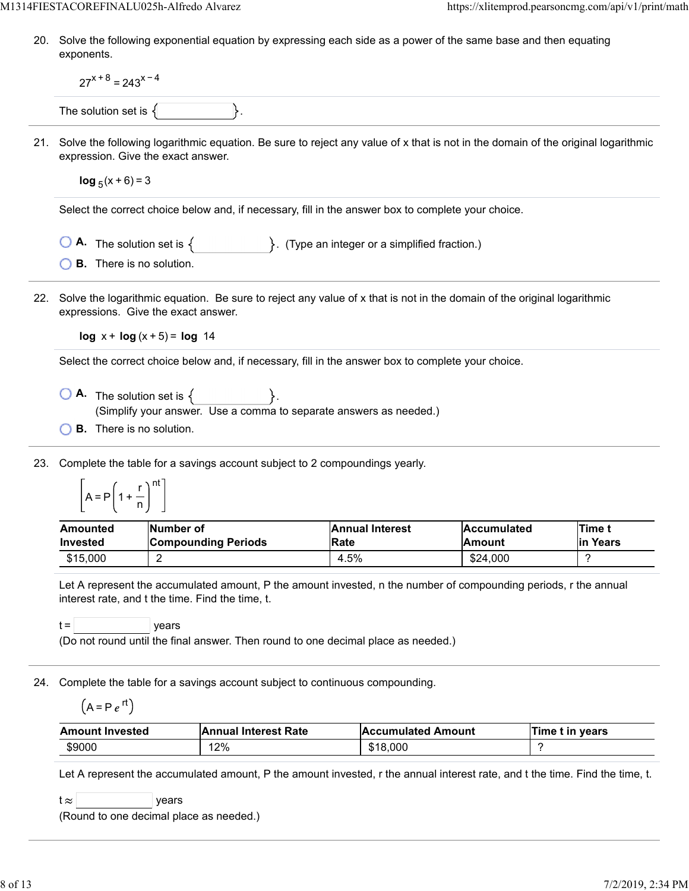20. Solve the following exponential equation by expressing each side as a power of the same base and then equating exponents.

|     | $27^{x+8}$ = 243 <sup>x-4</sup>                                                                                                                                                                                                                                             |                                                                                       |                                |                              |                    |
|-----|-----------------------------------------------------------------------------------------------------------------------------------------------------------------------------------------------------------------------------------------------------------------------------|---------------------------------------------------------------------------------------|--------------------------------|------------------------------|--------------------|
|     | The solution set is $\{$                                                                                                                                                                                                                                                    |                                                                                       |                                |                              |                    |
|     | 21. Solve the following logarithmic equation. Be sure to reject any value of x that is not in the domain of the original logarithmic<br>expression. Give the exact answer.                                                                                                  |                                                                                       |                                |                              |                    |
|     | $log_5(x+6) = 3$                                                                                                                                                                                                                                                            |                                                                                       |                                |                              |                    |
|     | Select the correct choice below and, if necessary, fill in the answer box to complete your choice.                                                                                                                                                                          |                                                                                       |                                |                              |                    |
|     |                                                                                                                                                                                                                                                                             | <b>A.</b> The solution set is $\{$ $\}$ . (Type an integer or a simplified fraction.) |                                |                              |                    |
|     | <b>B.</b> There is no solution.                                                                                                                                                                                                                                             |                                                                                       |                                |                              |                    |
| 22. | Solve the logarithmic equation. Be sure to reject any value of x that is not in the domain of the original logarithmic<br>expressions. Give the exact answer.                                                                                                               |                                                                                       |                                |                              |                    |
|     | $log x + log(x + 5) = log 14$                                                                                                                                                                                                                                               |                                                                                       |                                |                              |                    |
|     | Select the correct choice below and, if necessary, fill in the answer box to complete your choice.                                                                                                                                                                          |                                                                                       |                                |                              |                    |
|     | $\bigcirc$ <b>A</b> . The solution set is $\{$ }.<br><b>B.</b> There is no solution.                                                                                                                                                                                        | (Simplify your answer. Use a comma to separate answers as needed.)                    |                                |                              |                    |
| 23. | Complete the table for a savings account subject to 2 compoundings yearly.<br>$A = P\left(1 + \frac{r}{n}\right)^{nt}$                                                                                                                                                      |                                                                                       |                                |                              |                    |
|     | <b>Number of</b><br>Amounted<br><b>Invested</b>                                                                                                                                                                                                                             | <b>Compounding Periods</b>                                                            | <b>Annual Interest</b><br>Rate | <b>Accumulated</b><br>Amount | Time t<br>in Years |
|     | \$15,000<br>2                                                                                                                                                                                                                                                               |                                                                                       | 4.5%                           | \$24,000                     | ?                  |
|     | Let A represent the accumulated amount, P the amount invested, n the number of compounding periods, r the annual<br>interest rate, and t the time. Find the time, t.<br>$t =$<br>years<br>(Do not round until the final answer. Then round to one decimal place as needed.) |                                                                                       |                                |                              |                    |
| 24. | Complete the table for a savings account subject to continuous compounding.<br>$(A = Pe^{rt})$                                                                                                                                                                              |                                                                                       |                                |                              |                    |
|     | <b>Amount Invested</b>                                                                                                                                                                                                                                                      | <b>Annual Interest Rate</b>                                                           | <b>Accumulated Amount</b>      |                              | Time t in years    |
|     | \$9000                                                                                                                                                                                                                                                                      | 12%                                                                                   | \$18,000                       |                              | ?                  |
|     | Let A represent the accumulated amount, P the amount invested, r the annual interest rate, and t the time. Find the time, t.<br>t $\approx$<br>years<br>(Round to one decimal place as needed.)                                                                             |                                                                                       |                                |                              |                    |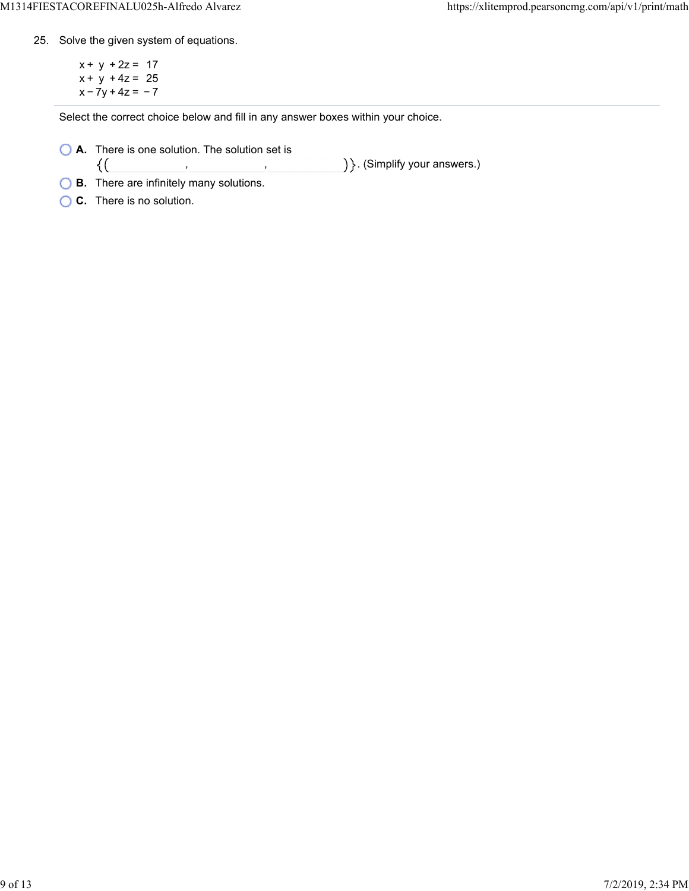25. Solve the given system of equations.

 $x + y + 2z = 17$  $x + y + 4z = 25$  $x - 7y + 4z = -7$ 

Select the correct choice below and fill in any answer boxes within your choice.

**A.** There is one solution. The solution set is

) }. (Simplify your answers.)  $\{(\}$ , ,

**B.** There are infinitely many solutions.

**C.** There is no solution.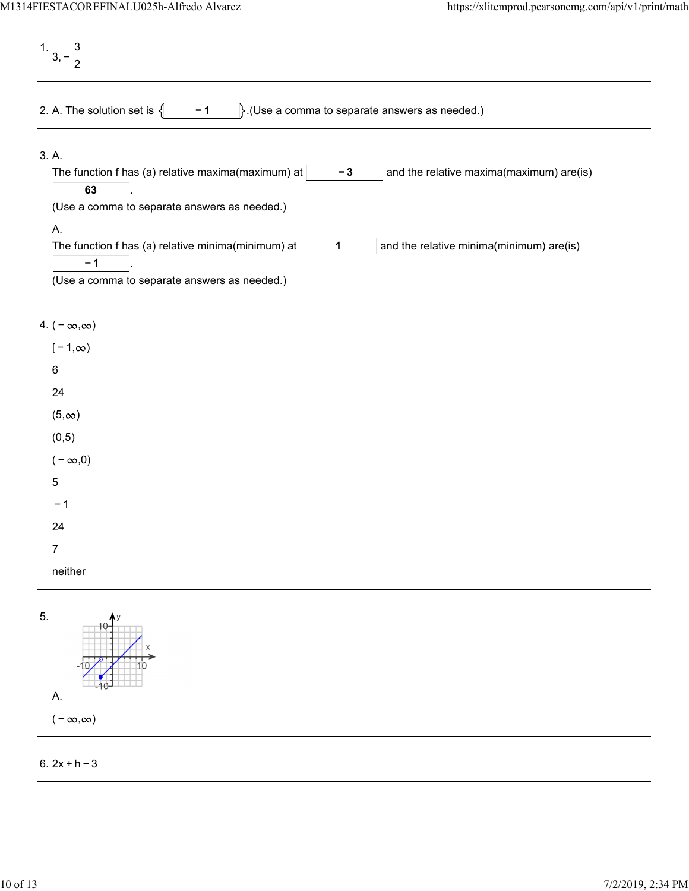1. 3, − 3 2 2. A. The solution set is  $\begin{cases} \begin{matrix} -1 \\ \end{matrix}$ . (Use a comma to separate answers as needed.) 3. A. The function f has (a) relative maxima(maximum) at  $\vert$   $\vert$   $\vert$   $\vert$   $\vert$   $\vert$  and the relative maxima(maximum) are(is) . **− 3 63** (Use a comma to separate answers as needed.) A. The function f has (a) relative minima(minimum) at  $\vert$  1  $\vert$  and the relative minima(minimum) are(is) . **1 − 1** (Use a comma to separate answers as needed.)

## 4.  $(-\infty, \infty)$

| $[-1, \infty)$ |
|----------------|
| 6              |
| 24             |
| $(5, \infty)$  |
| (0, 5)         |
| $(-\infty,0)$  |
| 5              |
| $-1$           |
| 24             |
| 7              |
| neither        |



## 6. 2x + h − 3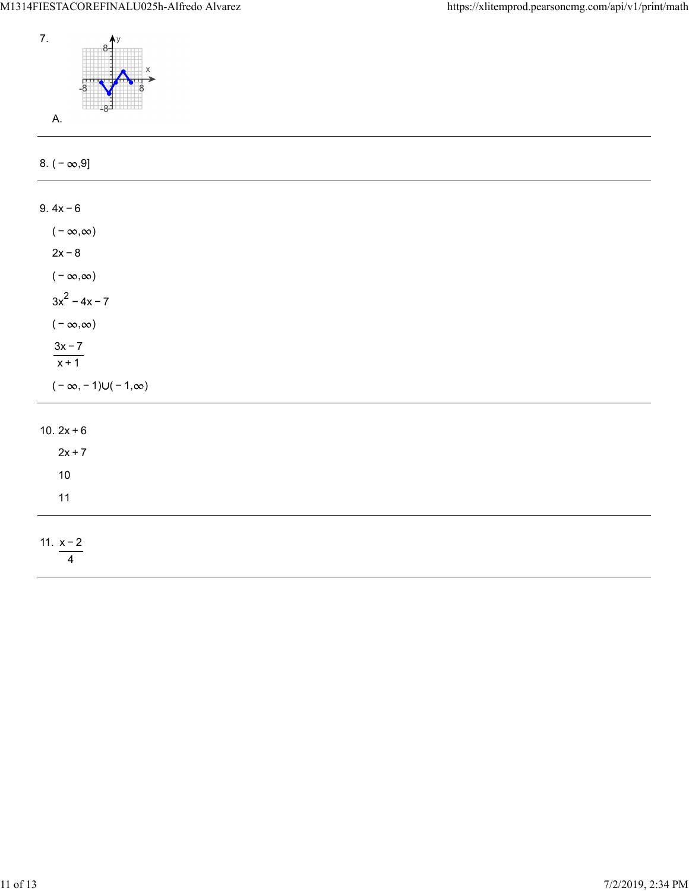

| 8. $(-\infty, 9]$                 |  |  |  |
|-----------------------------------|--|--|--|
| $9.4x - 6$                        |  |  |  |
|                                   |  |  |  |
| ( – $\infty, \infty)$             |  |  |  |
| $2x - 8$                          |  |  |  |
| ( – $\infty, \infty)$             |  |  |  |
| $3x^2 - 4x - 7$                   |  |  |  |
| $(-\infty,\infty)$                |  |  |  |
| $\frac{3x-7}{x+1}$                |  |  |  |
|                                   |  |  |  |
| $(-\infty, -1) \cup (-1, \infty)$ |  |  |  |
| 10. $2x + 6$                      |  |  |  |
| $2x + 7$                          |  |  |  |
| $10\,$                            |  |  |  |
| 11                                |  |  |  |
|                                   |  |  |  |
| 11. $x - 2$                       |  |  |  |
| $\overline{4}$                    |  |  |  |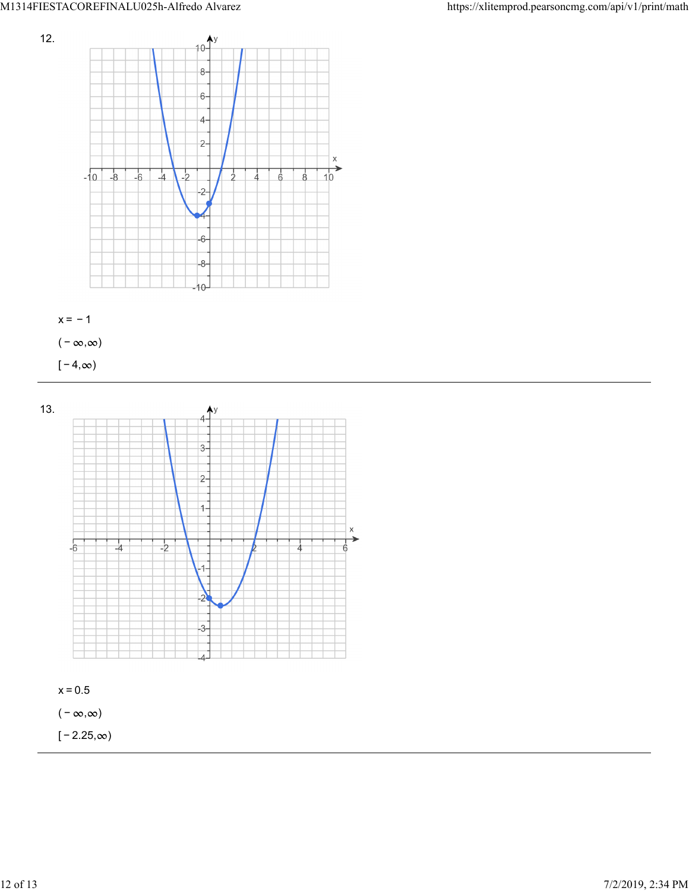



 $[-4, \infty)$